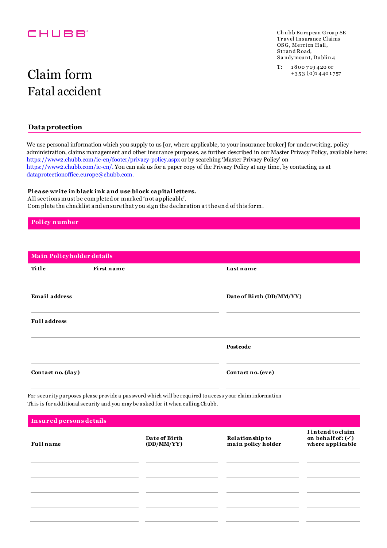## CHUBB<sup>®</sup>

Ch ubb European Group SE Tr avel Insurance Claims OSG, Merrion Hall, Strand Road, S a ndymou nt, Du blin 4

T: 1 800 7 19 4 20 or +3 5 3 ( 0)1 4 40 1 757

# Fatal accident Claim form

## **Data protection**

We use personal information which you supply to us [or, where applicable, to your insurance broker] for underwriting, policy administration, claims management and other insurance purposes, as further described in our Master Privacy Policy, available here: https://www2.chubb.com/ie-en/footer/privacy-policy.aspx or by searching 'Master Privacy Policy' on https://www2.chubb.com/ie-en/. You can ask us for a paper copy of the Privacy Policy at any time, by contacting us at dataprotectionoffice.europe@chubb.com.

#### **Plea se write in black ink a nd use block ca pital letters.**

A ll sections must be completed or marked 'n ot a pplicable'. Com plete the checklist a nd en sure that y ou sig n the declaration a t the en d of th is for m.

### **Policy number**

| Main Policyholder details |            |                          |  |  |
|---------------------------|------------|--------------------------|--|--|
| Title                     | First name | Last name                |  |  |
| <b>Email address</b>      |            | Date of Birth (DD/MM/YY) |  |  |
| <b>Full address</b>       |            |                          |  |  |
|                           |            | Postcode                 |  |  |
| Contact no. (day)         |            | Contact no. (eve)        |  |  |

For secu rity purposes please provide a password which will be requ ired to access your claim information This is for additional security and you may be asked for it when calling Chubb.

| Insured persons details |                             |                                       |                                                                              |  |
|-------------------------|-----------------------------|---------------------------------------|------------------------------------------------------------------------------|--|
| <b>Full</b> name        | Date of Birth<br>(DD/MM/YY) | Relationship to<br>main policy holder | <b>I</b> intend to claim<br>on behalf of: $(\checkmark)$<br>where applicable |  |
|                         |                             |                                       |                                                                              |  |
|                         |                             |                                       |                                                                              |  |
|                         |                             |                                       |                                                                              |  |
|                         |                             |                                       |                                                                              |  |
|                         |                             |                                       |                                                                              |  |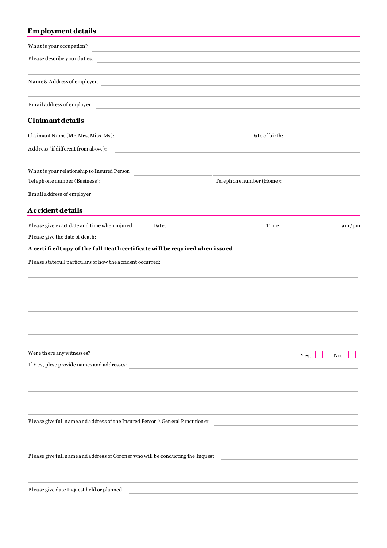## **Em ployment details**

| What is your occupation?                                                                                                  |                                                                                                                      |
|---------------------------------------------------------------------------------------------------------------------------|----------------------------------------------------------------------------------------------------------------------|
| Please describe your duties:<br>the control of the control of the control of the control of the control of the control of |                                                                                                                      |
| Name&Address of employer:<br>the control of the control of the control of the control of the control of the control of    |                                                                                                                      |
| Email address of employer:<br>the control of the control of the control of the control of the control of                  |                                                                                                                      |
| Claimant details                                                                                                          |                                                                                                                      |
| Claimant Name (Mr, Mrs, Miss, Ms):                                                                                        | Date of birth:                                                                                                       |
| Address (if different from above):                                                                                        |                                                                                                                      |
| What is your relationship to Insured Person:                                                                              |                                                                                                                      |
| Telephonenumber (Business):                                                                                               | Telephonenumber (Home):                                                                                              |
| Email address of employer:                                                                                                |                                                                                                                      |
| Accident details                                                                                                          |                                                                                                                      |
| Please give exact date and time when injured:<br>Date:                                                                    | Time:<br>am/pm                                                                                                       |
| Please give the date of death:                                                                                            |                                                                                                                      |
| A certified Copy of the full Death certificate will be required when issued                                               |                                                                                                                      |
| Please statefull particulars of how the accident occurred:                                                                | <u> 1980 - Jan Samuel Barbara, martin di sebagai personal di sebagai personal di sebagai personal di sebagai per</u> |
|                                                                                                                           |                                                                                                                      |
| Were there any witnesses?                                                                                                 | No:<br>Yes:                                                                                                          |
| If Yes, plese provide names and addresses:                                                                                |                                                                                                                      |
|                                                                                                                           |                                                                                                                      |
| Please give full name and address of the Insured Person's General Practitioner:                                           |                                                                                                                      |
| Please give full name and address of Coroner who will be conducting the Inquest                                           |                                                                                                                      |
| Please give date Inquest held or planned:                                                                                 |                                                                                                                      |